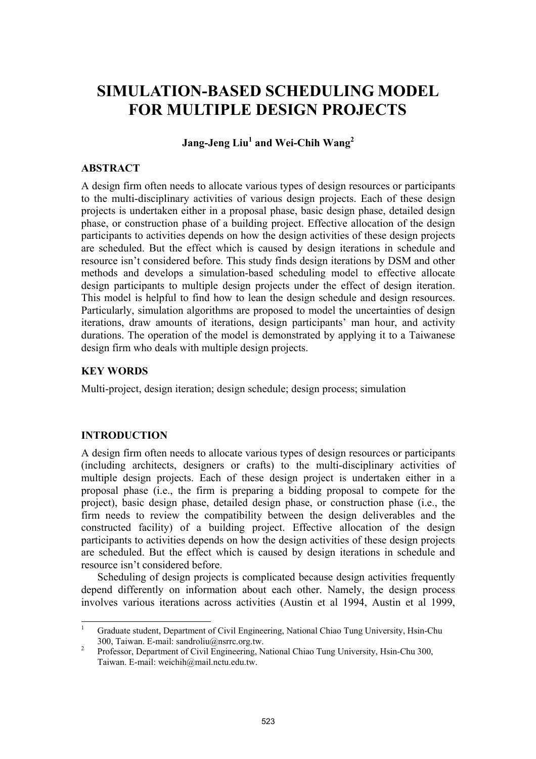# **SIMULATION-BASED SCHEDULING MODEL FOR MULTIPLE DESIGN PROJECTS**

 $\sigma$  Jang-Jeng Liu<sup>1</sup> and Wei-Chih Wang<sup>2</sup>

# **ABSTRACT**

A design firm often needs to allocate various types of design resources or participants to the multi-disciplinary activities of various design projects. Each of these design projects is undertaken either in a proposal phase, basic design phase, detailed design phase, or construction phase of a building project. Effective allocation of the design participants to activities depends on how the design activities of these design projects are scheduled. But the effect which is caused by design iterations in schedule and resource isn't considered before. This study finds design iterations by DSM and other methods and develops a simulation-based scheduling model to effective allocate design participants to multiple design projects under the effect of design iteration. This model is helpful to find how to lean the design schedule and design resources. Particularly, simulation algorithms are proposed to model the uncertainties of design iterations, draw amounts of iterations, design participants' man hour, and activity durations. The operation of the model is demonstrated by applying it to a Taiwanese design firm who deals with multiple design projects.

# **KEY WORDS**

Multi-project, design iteration; design schedule; design process; simulation

## **INTRODUCTION**

A design firm often needs to allocate various types of design resources or participants (including architects, designers or crafts) to the multi-disciplinary activities of multiple design projects. Each of these design project is undertaken either in a proposal phase (i.e., the firm is preparing a bidding proposal to compete for the project), basic design phase, detailed design phase, or construction phase (i.e., the firm needs to review the compatibility between the design deliverables and the constructed facility) of a building project. Effective allocation of the design participants to activities depends on how the design activities of these design projects are scheduled. But the effect which is caused by design iterations in schedule and resource isn't considered before.

Scheduling of design projects is complicated because design activities frequently depend differently on information about each other. Namely, the design process involves various iterations across activities (Austin et al 1994, Austin et al 1999,

 $\frac{1}{1}$  Graduate student, Department of Civil Engineering, National Chiao Tung University, Hsin-Chu 300, Taiwan. E-mail: sandroliu@nsrrc.org.tw.

Professor, Department of Civil Engineering, National Chiao Tung University, Hsin-Chu 300, Taiwan. E-mail: weichih@mail.nctu.edu.tw.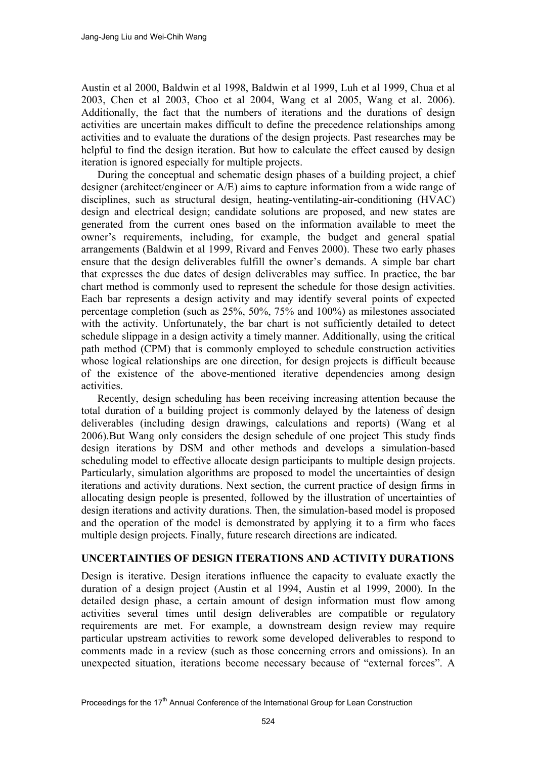Austin et al 2000, Baldwin et al 1998, Baldwin et al 1999, Luh et al 1999, Chua et al 2003, Chen et al 2003, Choo et al 2004, Wang et al 2005, Wang et al. 2006). Additionally, the fact that the numbers of iterations and the durations of design activities are uncertain makes difficult to define the precedence relationships among activities and to evaluate the durations of the design projects. Past researches may be helpful to find the design iteration. But how to calculate the effect caused by design iteration is ignored especially for multiple projects.

During the conceptual and schematic design phases of a building project, a chief designer (architect/engineer or A/E) aims to capture information from a wide range of disciplines, such as structural design, heating-ventilating-air-conditioning (HVAC) design and electrical design; candidate solutions are proposed, and new states are generated from the current ones based on the information available to meet the owner's requirements, including, for example, the budget and general spatial arrangements (Baldwin et al 1999, Rivard and Fenves 2000). These two early phases ensure that the design deliverables fulfill the owner's demands. A simple bar chart that expresses the due dates of design deliverables may suffice. In practice, the bar chart method is commonly used to represent the schedule for those design activities. Each bar represents a design activity and may identify several points of expected percentage completion (such as 25%, 50%, 75% and 100%) as milestones associated with the activity. Unfortunately, the bar chart is not sufficiently detailed to detect schedule slippage in a design activity a timely manner. Additionally, using the critical path method (CPM) that is commonly employed to schedule construction activities whose logical relationships are one direction, for design projects is difficult because of the existence of the above-mentioned iterative dependencies among design activities.

Recently, design scheduling has been receiving increasing attention because the total duration of a building project is commonly delayed by the lateness of design deliverables (including design drawings, calculations and reports) (Wang et al 2006).But Wang only considers the design schedule of one project This study finds design iterations by DSM and other methods and develops a simulation-based scheduling model to effective allocate design participants to multiple design projects. Particularly, simulation algorithms are proposed to model the uncertainties of design iterations and activity durations. Next section, the current practice of design firms in allocating design people is presented, followed by the illustration of uncertainties of design iterations and activity durations. Then, the simulation-based model is proposed and the operation of the model is demonstrated by applying it to a firm who faces multiple design projects. Finally, future research directions are indicated.

## **UNCERTAINTIES OF DESIGN ITERATIONS AND ACTIVITY DURATIONS**

Design is iterative. Design iterations influence the capacity to evaluate exactly the duration of a design project (Austin et al 1994, Austin et al 1999, 2000). In the detailed design phase, a certain amount of design information must flow among activities several times until design deliverables are compatible or regulatory requirements are met. For example, a downstream design review may require particular upstream activities to rework some developed deliverables to respond to comments made in a review (such as those concerning errors and omissions). In an unexpected situation, iterations become necessary because of "external forces". A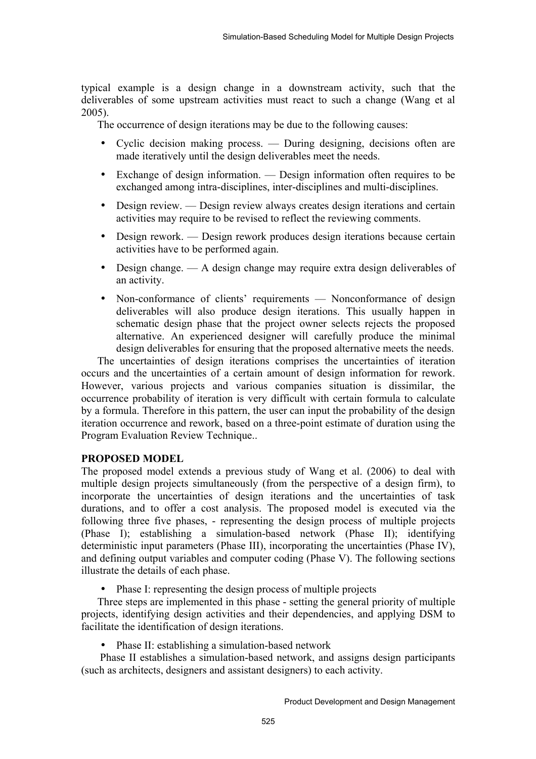typical example is a design change in a downstream activity, such that the deliverables of some upstream activities must react to such a change (Wang et al 2005).

The occurrence of design iterations may be due to the following causes:

- Cyclic decision making process. During designing, decisions often are made iteratively until the design deliverables meet the needs.
- Exchange of design information. Design information often requires to be exchanged among intra-disciplines, inter-disciplines and multi-disciplines.
- Design review. Design review always creates design iterations and certain activities may require to be revised to reflect the reviewing comments.
- Design rework. Design rework produces design iterations because certain activities have to be performed again.
- Design change. A design change may require extra design deliverables of an activity.
- Non-conformance of clients' requirements Nonconformance of design deliverables will also produce design iterations. This usually happen in schematic design phase that the project owner selects rejects the proposed alternative. An experienced designer will carefully produce the minimal design deliverables for ensuring that the proposed alternative meets the needs.

The uncertainties of design iterations comprises the uncertainties of iteration occurs and the uncertainties of a certain amount of design information for rework. However, various projects and various companies situation is dissimilar, the occurrence probability of iteration is very difficult with certain formula to calculate by a formula. Therefore in this pattern, the user can input the probability of the design iteration occurrence and rework, based on a three-point estimate of duration using the Program Evaluation Review Technique..

# **PROPOSED MODEL**

The proposed model extends a previous study of Wang et al. (2006) to deal with multiple design projects simultaneously (from the perspective of a design firm), to incorporate the uncertainties of design iterations and the uncertainties of task durations, and to offer a cost analysis. The proposed model is executed via the following three five phases, - representing the design process of multiple projects (Phase I); establishing a simulation-based network (Phase II); identifying deterministic input parameters (Phase III), incorporating the uncertainties (Phase IV), and defining output variables and computer coding (Phase V). The following sections illustrate the details of each phase.

• Phase I: representing the design process of multiple projects

Three steps are implemented in this phase - setting the general priority of multiple projects, identifying design activities and their dependencies, and applying DSM to facilitate the identification of design iterations.

• Phase II: establishing a simulation-based network

 Phase II establishes a simulation-based network, and assigns design participants (such as architects, designers and assistant designers) to each activity.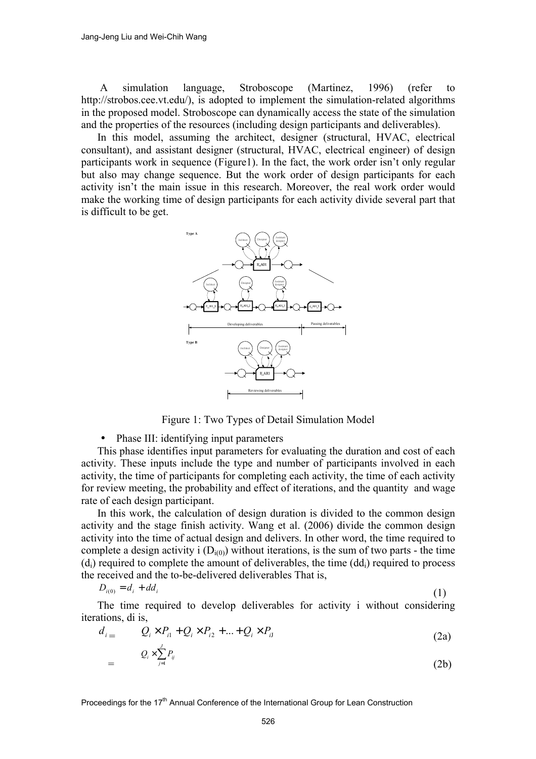A simulation language, Stroboscope (Martinez, 1996) (refer to http://strobos.cee.vt.edu/), is adopted to implement the simulation-related algorithms in the proposed model. Stroboscope can dynamically access the state of the simulation and the properties of the resources (including design participants and deliverables).

In this model, assuming the architect, designer (structural, HVAC, electrical consultant), and assistant designer (structural, HVAC, electrical engineer) of design participants work in sequence (Figure1). In the fact, the work order isn't only regular but also may change sequence. But the work order of design participants for each activity isn't the main issue in this research. Moreover, the real work order would make the working time of design participants for each activity divide several part that is difficult to be get.



Figure 1: Two Types of Detail Simulation Model

• Phase III: identifying input parameters

This phase identifies input parameters for evaluating the duration and cost of each activity. These inputs include the type and number of participants involved in each activity, the time of participants for completing each activity, the time of each activity for review meeting, the probability and effect of iterations, and the quantity and wage rate of each design participant.

In this work, the calculation of design duration is divided to the common design activity and the stage finish activity. Wang et al. (2006) divide the common design activity into the time of actual design and delivers. In other word, the time required to complete a design activity i  $(D_{i(0)})$  without iterations, is the sum of two parts - the time  $(d<sub>i</sub>)$  required to complete the amount of deliverables, the time  $(dd<sub>i</sub>)$  required to process the received and the to-be-delivered deliverables That is,

$$
D_{i(0)} = d_i + dd_i \tag{1}
$$

The time required to develop deliverables for activity i without considering iterations, di is,

$$
d_{i} = Q_{i} \times P_{i1} + Q_{i} \times P_{i2} + ... + Q_{i} \times P_{iJ}
$$
 (2a)

$$
= \qquad \qquad Q_i \times \sum_{j=1}^n P_{ij} \tag{2b}
$$

Proceedings for the  $17<sup>th</sup>$  Annual Conference of the International Group for Lean Construction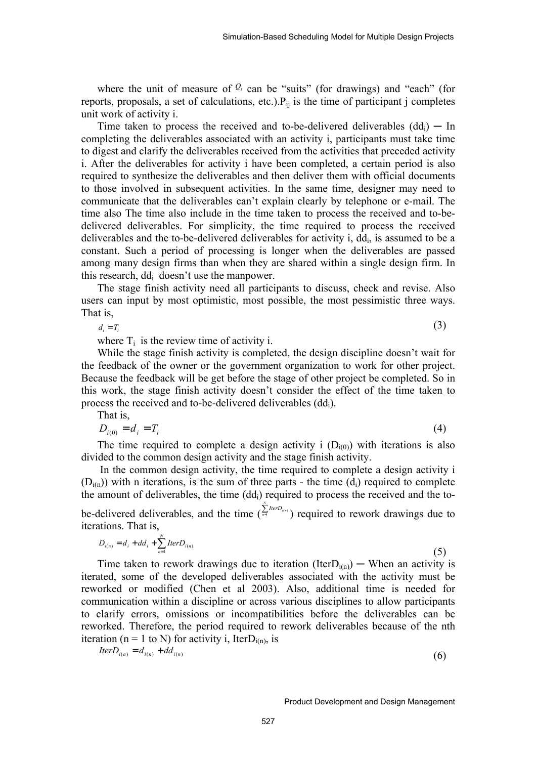where the unit of measure of  $\mathcal{Q}_i$  can be "suits" (for drawings) and "each" (for reports, proposals, a set of calculations, etc.). $P_{ii}$  is the time of participant j completes unit work of activity i.

Time taken to process the received and to-be-delivered deliverables  $(dd_i)$  — In completing the deliverables associated with an activity i, participants must take time to digest and clarify the deliverables received from the activities that preceded activity i. After the deliverables for activity i have been completed, a certain period is also required to synthesize the deliverables and then deliver them with official documents to those involved in subsequent activities. In the same time, designer may need to communicate that the deliverables can't explain clearly by telephone or e-mail. The time also The time also include in the time taken to process the received and to-bedelivered deliverables. For simplicity, the time required to process the received deliverables and the to-be-delivered deliverables for activity i,  $dd_i$ , is assumed to be a constant. Such a period of processing is longer when the deliverables are passed among many design firms than when they are shared within a single design firm. In this research, ddi doesn't use the manpower.

The stage finish activity need all participants to discuss, check and revise. Also users can input by most optimistic, most possible, the most pessimistic three ways. That is,

$$
d_i = T_i \tag{3}
$$

where  $T_i$  is the review time of activity i.

While the stage finish activity is completed, the design discipline doesn't wait for the feedback of the owner or the government organization to work for other project. Because the feedback will be get before the stage of other project be completed. So in this work, the stage finish activity doesn't consider the effect of the time taken to process the received and to-be-delivered deliverables (ddi).

That is,

$$
D_{i(0)} = d_i = T_i \tag{4}
$$

The time required to complete a design activity i  $(D_{i(0)})$  with iterations is also divided to the common design activity and the stage finish activity.

 In the common design activity, the time required to complete a design activity i  $(D_{i(n)})$  with n iterations, is the sum of three parts - the time  $(d_i)$  required to complete the amount of deliverables, the time  $(dd_i)$  required to process the received and the to**be-delivered deliverables, and the time** ( $\sum_{n=1}^{\infty}$  $\sum_{n=1}^{N}$  *IterD*<sub>(a)</sub> **)** required to rework drawings due to iterations. That is,

$$
D_{i(n)} = d_i + dd_i + \sum_{n=1}^{N} Iter D_{i(n)} \tag{5}
$$

Time taken to rework drawings due to iteration (Iter $D_{i(n)}$ ) — When an activity is iterated, some of the developed deliverables associated with the activity must be reworked or modified (Chen et al 2003). Also, additional time is needed for communication within a discipline or across various disciplines to allow participants to clarify errors, omissions or incompatibilities before the deliverables can be reworked. Therefore, the period required to rework deliverables because of the nth iteration (n = 1 to N) for activity i, IterD<sub>i(n)</sub>, is

$$
IterD_{i(n)} = d_{i(n)} + dd_{i(n)}
$$
\n
$$
(6)
$$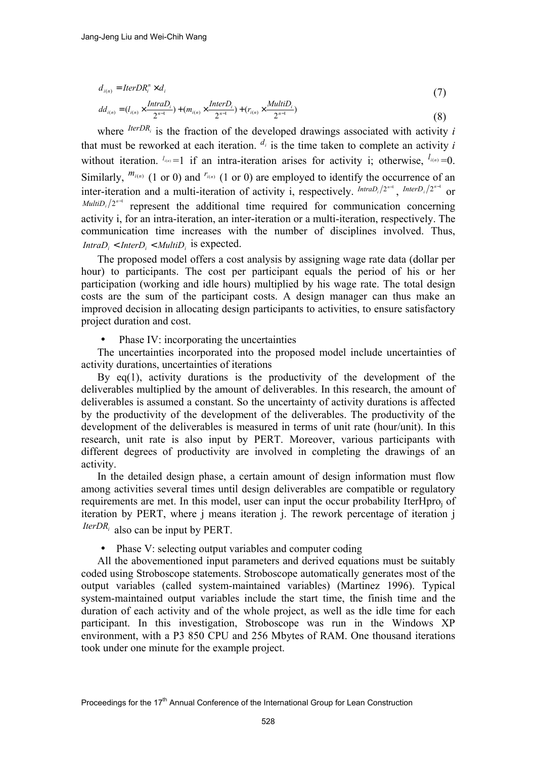$$
d_{i(n)} = \text{IterDR}_{i}^{n} \times d_{i}
$$
\n<sup>(7)</sup>

$$
dd_{i(n)} = (l_{i(n)} \times \frac{IntroD_i}{2^{n-1}}) + (m_{i(n)} \times \frac{InterD_i}{2^{n-1}}) + (r_{i(n)} \times \frac{MultiD_i}{2^{n-1}})
$$
\n(8)

where  *is the fraction of the developed drawings associated with activity <i>i* that must be reworked at each iteration.  $d_i$  is the time taken to complete an activity *i* without iteration.  $I_{(n)} = 1$  if an intra-iteration arises for activity i; otherwise,  $I_{(n)} = 0$ . Similarly,  $^{m_{i(n)}}$  (1 or 0) and  $^{r_{i(n)}}$  (1 or 0) are employed to identify the occurrence of an inter-iteration and a multi-iteration of activity i, respectively.  $^{Intro_{i}/2^{n-1}}$ ,  $^{InterD_{i}/2^{n-1}}$ *MultiD<sub>i</sub>*  $/2^{n-1}$  represent the additional time required for communication concerning activity i, for an intra-iteration, an inter-iteration or a multi-iteration, respectively. The communication time increases with the number of disciplines involved. Thus,  $IntroD_i$  <  $InterD_i$  <  $MultiD_i$  is expected.

The proposed model offers a cost analysis by assigning wage rate data (dollar per hour) to participants. The cost per participant equals the period of his or her participation (working and idle hours) multiplied by his wage rate. The total design costs are the sum of the participant costs. A design manager can thus make an improved decision in allocating design participants to activities, to ensure satisfactory project duration and cost.

Phase IV: incorporating the uncertainties

The uncertainties incorporated into the proposed model include uncertainties of activity durations, uncertainties of iterations

By  $eq(1)$ , activity durations is the productivity of the development of the deliverables multiplied by the amount of deliverables. In this research, the amount of deliverables is assumed a constant. So the uncertainty of activity durations is affected by the productivity of the development of the deliverables. The productivity of the development of the deliverables is measured in terms of unit rate (hour/unit). In this research, unit rate is also input by PERT. Moreover, various participants with different degrees of productivity are involved in completing the drawings of an activity.

In the detailed design phase, a certain amount of design information must flow among activities several times until design deliverables are compatible or regulatory requirements are met. In this model, user can input the occur probability IterHpro<sub>i</sub> of iteration by PERT, where j means iteration j. The rework percentage of iteration j *IterDR<sub>i</sub>* also can be input by PERT.

• Phase V: selecting output variables and computer coding

All the abovementioned input parameters and derived equations must be suitably coded using Stroboscope statements. Stroboscope automatically generates most of the output variables (called system-maintained variables) (Martinez 1996). Typical system-maintained output variables include the start time, the finish time and the duration of each activity and of the whole project, as well as the idle time for each participant. In this investigation, Stroboscope was run in the Windows XP environment, with a P3 850 CPU and 256 Mbytes of RAM. One thousand iterations took under one minute for the example project.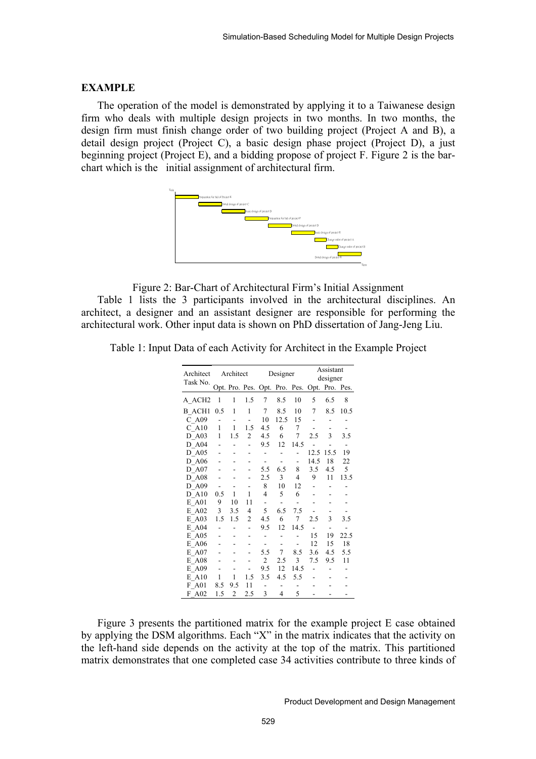### **EXAMPLE**

The operation of the model is demonstrated by applying it to a Taiwanese design firm who deals with multiple design projects in two months. In two months, the design firm must finish change order of two building project (Project A and B), a detail design project (Project C), a basic design phase project (Project D), a just beginning project (Project E), and a bidding propose of project F. Figure 2 is the barchart which is the initial assignment of architectural firm.



Figure 2: Bar-Chart of Architectural Firm's Initial Assignment

Table 1 lists the 3 participants involved in the architectural disciplines. An architect, a designer and an assistant designer are responsible for performing the architectural work. Other input data is shown on PhD dissertation of Jang-Jeng Liu.

|  | Table 1: Input Data of each Activity for Architect in the Example Project |  |  |
|--|---------------------------------------------------------------------------|--|--|
|  |                                                                           |  |  |

| Architect<br>Task No. | Architect    |                          | Designer                 |                                              |                              | Assistant<br>designer |                |      |      |
|-----------------------|--------------|--------------------------|--------------------------|----------------------------------------------|------------------------------|-----------------------|----------------|------|------|
|                       |              |                          |                          | Opt. Pro. Pes. Opt. Pro. Pes. Opt. Pro. Pes. |                              |                       |                |      |      |
| A_ACH2                | 1            | 1                        | 1.5                      | 7                                            | 8.5                          | 10                    | 5              | 6.5  | 8    |
| <b>B</b> ACH1         | 0.5          | 1                        | $\mathbf{1}$             | 7                                            | 8.5                          | 10                    | 7              | 8.5  | 10.5 |
| $C_A09$               |              | $\overline{\phantom{0}}$ | $\overline{\phantom{0}}$ | 10                                           | 12.5                         | 15                    |                |      |      |
| $C$ A <sub>10</sub>   | $\mathbf{1}$ | $\mathbf{1}$             | 1.5                      | 4.5                                          | 6                            | $\tau$                |                |      |      |
| D A03                 | 1            | 1.5                      | 2                        | 4.5                                          | 6                            | $\tau$                | 2.5            | 3    | 3.5  |
| $D_A04$               |              | $\overline{a}$           |                          | 9.5                                          | 12                           | 14.5                  |                |      | ٠    |
| D A05                 |              |                          |                          |                                              |                              |                       | 12.5           | 15.5 | 19   |
| D A06                 |              |                          |                          | $\overline{\phantom{a}}$                     | $\qquad \qquad \blacksquare$ | -                     | 14.5           | 18   | 22   |
| $D_A07$               |              |                          |                          | 5.5                                          | 6.5                          | 8                     | 3.5            | 4.5  | 5    |
| D A08                 |              |                          |                          | 2.5                                          | 3                            | 4                     | 9              | 11   | 13.5 |
| D A09                 |              |                          |                          | 8                                            | 10                           | 12                    |                |      |      |
| $D$ A <sub>10</sub>   | 0.5          | 1                        | 1                        | $\overline{\mathcal{L}}$                     | 5                            | 6                     |                |      |      |
| E A01                 | 9            | 10                       | 11                       | $\overline{\phantom{a}}$                     | $\overline{\phantom{0}}$     |                       |                |      |      |
| E A02                 | 3            | 3.5                      | 4                        | 5                                            | 6.5                          | 7.5                   |                |      |      |
| E A03                 | 1.5          | 1.5                      | $\overline{c}$           | 4.5                                          | 6                            | $\tau$                | 2.5            | 3    | 3.5  |
| E A04                 |              |                          |                          | 9.5                                          | 12                           | 14.5                  | $\overline{a}$ |      |      |
| E A05                 |              |                          |                          |                                              |                              |                       | 15             | 19   | 22.5 |
| E A06                 |              |                          |                          |                                              | $\overline{\phantom{0}}$     |                       | 12             | 15   | 18   |
| E A07                 |              |                          |                          | 5.5                                          | 7                            | 8.5                   | 3.6            | 4.5  | 5.5  |
| E A08                 |              |                          |                          | 2                                            | 2.5                          | 3                     | 7.5            | 9.5  | 11   |
| E A09                 |              |                          |                          | 9.5                                          | 12                           | 14.5                  |                |      |      |
| E A10                 | 1            | 1                        | 1.5                      | 3.5                                          | 4.5                          | 5.5                   |                |      |      |
| F A01                 | 8.5          | 9.5                      | 11                       |                                              |                              |                       |                |      |      |
| F A02                 | 1.5          | $\overline{2}$           | 2.5                      | 3                                            | $\overline{4}$               | 5                     |                |      |      |

Figure 3 presents the partitioned matrix for the example project E case obtained by applying the DSM algorithms. Each "X" in the matrix indicates that the activity on the left-hand side depends on the activity at the top of the matrix. This partitioned matrix demonstrates that one completed case 34 activities contribute to three kinds of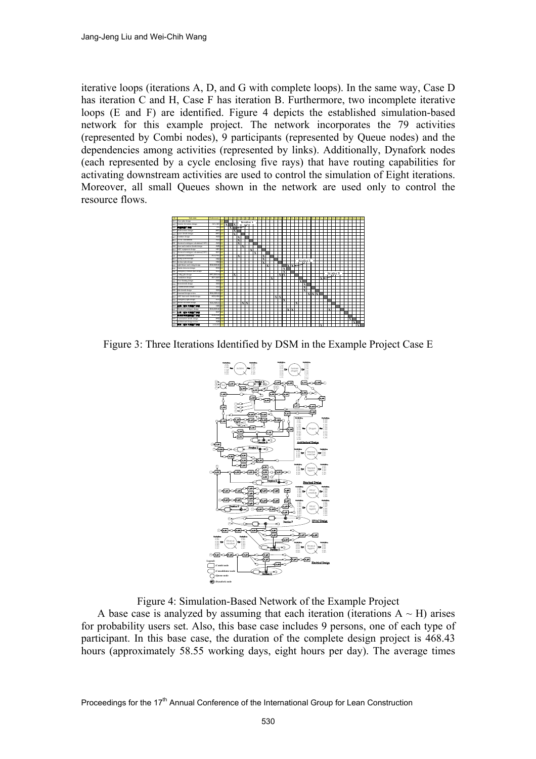iterative loops (iterations A, D, and G with complete loops). In the same way, Case D has iteration C and H, Case F has iteration B. Furthermore, two incomplete iterative loops (E and F) are identified. Figure 4 depicts the established simulation-based network for this example project. The network incorporates the 79 activities (represented by Combi nodes), 9 participants (represented by Queue nodes) and the dependencies among activities (represented by links). Additionally, Dynafork nodes (each represented by a cycle enclosing five rays) that have routing capabilities for activating downstream activities are used to control the simulation of Eight iterations. Moreover, all small Queues shown in the network are used only to control the resource flows.



Figure 3: Three Iterations Identified by DSM in the Example Project Case E



Figure 4: Simulation-Based Network of the Example Project

A base case is analyzed by assuming that each iteration (iterations  $A \sim H$ ) arises for probability users set. Also, this base case includes 9 persons, one of each type of participant. In this base case, the duration of the complete design project is 468.43 hours (approximately 58.55 working days, eight hours per day). The average times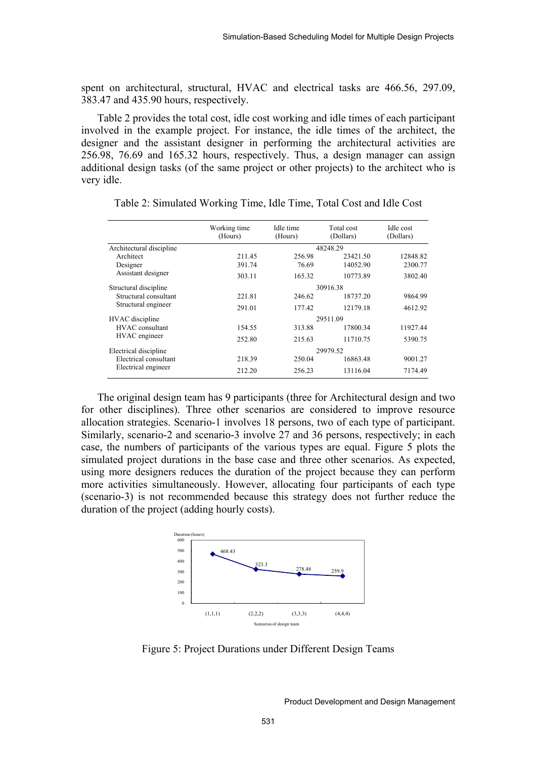spent on architectural, structural, HVAC and electrical tasks are 466.56, 297.09, 383.47 and 435.90 hours, respectively.

Table 2 provides the total cost, idle cost working and idle times of each participant involved in the example project. For instance, the idle times of the architect, the designer and the assistant designer in performing the architectural activities are 256.98, 76.69 and 165.32 hours, respectively. Thus, a design manager can assign additional design tasks (of the same project or other projects) to the architect who is very idle.

|                          | Working time<br>(Hours) | Idle time<br>(Hours) | Total cost<br>(Dollars) | Idle cost<br>(Dollars) |  |  |  |
|--------------------------|-------------------------|----------------------|-------------------------|------------------------|--|--|--|
| Architectural discipline | 48248.29                |                      |                         |                        |  |  |  |
| Architect                | 211.45                  | 256.98               | 23421.50                | 12848.82               |  |  |  |
| Designer                 | 391.74                  | 76.69                | 14052.90                | 2300.77                |  |  |  |
| Assistant designer       | 303.11                  | 165.32               | 10773.89                | 3802.40                |  |  |  |
| Structural discipline    | 30916.38                |                      |                         |                        |  |  |  |
| Structural consultant    | 221.81                  | 246.62               | 18737.20                | 9864.99                |  |  |  |
| Structural engineer      | 291.01                  | 177.42               | 12179.18                | 4612.92                |  |  |  |
| HVAC discipline          | 29511.09                |                      |                         |                        |  |  |  |
| HVAC consultant          | 154.55                  | 313.88               | 17800.34                | 11927.44               |  |  |  |
| HVAC engineer            | 252.80                  | 215.63               | 11710.75                | 5390.75                |  |  |  |
| Electrical discipline    | 29979.52                |                      |                         |                        |  |  |  |
| Electrical consultant    | 218.39                  | 250.04               | 16863.48                | 9001.27                |  |  |  |
| Electrical engineer      | 212.20                  | 256.23               | 13116.04                | 7174.49                |  |  |  |

Table 2: Simulated Working Time, Idle Time, Total Cost and Idle Cost

The original design team has 9 participants (three for Architectural design and two for other disciplines). Three other scenarios are considered to improve resource allocation strategies. Scenario-1 involves 18 persons, two of each type of participant. Similarly, scenario-2 and scenario-3 involve 27 and 36 persons, respectively; in each case, the numbers of participants of the various types are equal. Figure 5 plots the simulated project durations in the base case and three other scenarios. As expected, using more designers reduces the duration of the project because they can perform more activities simultaneously. However, allocating four participants of each type (scenario-3) is not recommended because this strategy does not further reduce the duration of the project (adding hourly costs).



Figure 5: Project Durations under Different Design Teams